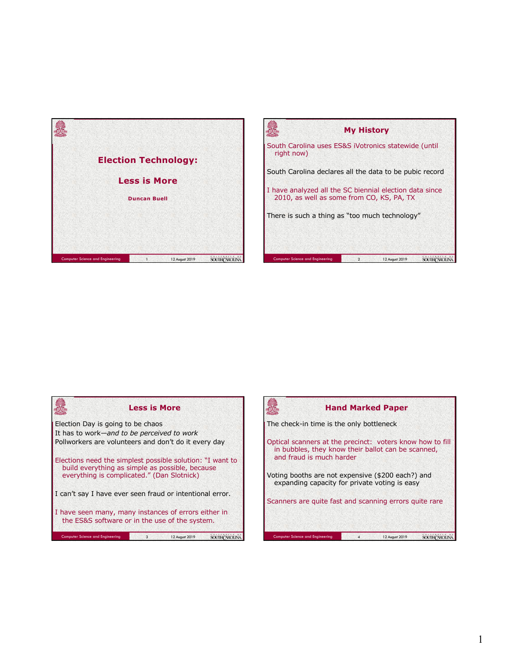